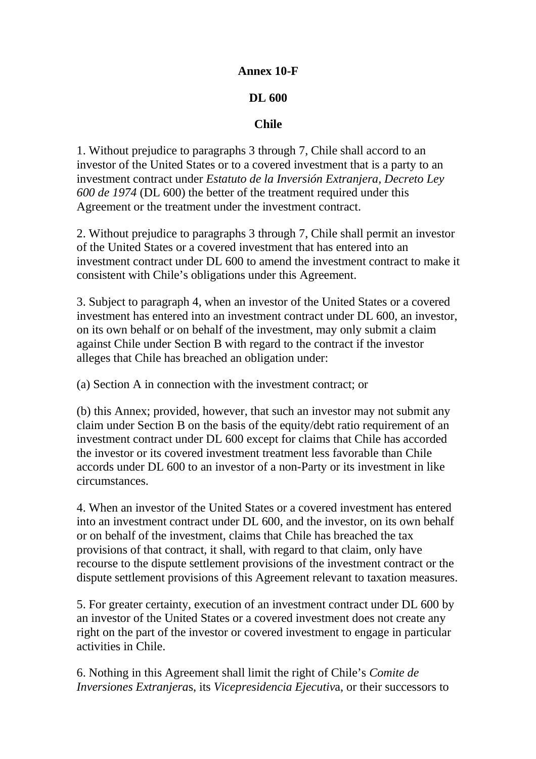## **Annex 10-F**

## **DL 600**

## **Chile**

1. Without prejudice to paragraphs 3 through 7, Chile shall accord to an investor of the United States or to a covered investment that is a party to an investment contract under *Estatuto de la Inversión Extranjera, Decreto Ley 600 de 1974* (DL 600) the better of the treatment required under this Agreement or the treatment under the investment contract.

2. Without prejudice to paragraphs 3 through 7, Chile shall permit an investor of the United States or a covered investment that has entered into an investment contract under DL 600 to amend the investment contract to make it consistent with Chile's obligations under this Agreement.

3. Subject to paragraph 4, when an investor of the United States or a covered investment has entered into an investment contract under DL 600, an investor, on its own behalf or on behalf of the investment, may only submit a claim against Chile under Section B with regard to the contract if the investor alleges that Chile has breached an obligation under:

(a) Section A in connection with the investment contract; or

(b) this Annex; provided, however, that such an investor may not submit any claim under Section B on the basis of the equity/debt ratio requirement of an investment contract under DL 600 except for claims that Chile has accorded the investor or its covered investment treatment less favorable than Chile accords under DL 600 to an investor of a non-Party or its investment in like circumstances.

4. When an investor of the United States or a covered investment has entered into an investment contract under DL 600, and the investor, on its own behalf or on behalf of the investment, claims that Chile has breached the tax provisions of that contract, it shall, with regard to that claim, only have recourse to the dispute settlement provisions of the investment contract or the dispute settlement provisions of this Agreement relevant to taxation measures.

5. For greater certainty, execution of an investment contract under DL 600 by an investor of the United States or a covered investment does not create any right on the part of the investor or covered investment to engage in particular activities in Chile.

6. Nothing in this Agreement shall limit the right of Chile's *Comite de Inversiones Extranjera*s, its *Vicepresidencia Ejecutiv*a, or their successors to